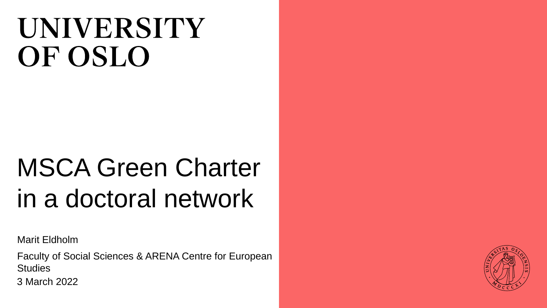# **UNIVERSITY** OF OSLO

# MSCA Green Charter in a doctoral network

Marit Eldholm

Faculty of Social Sciences & ARENA Centre for European **Studies** 

3 March 2022

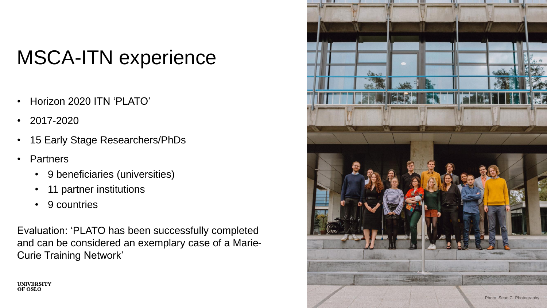# MSCA-ITN experience

- Horizon 2020 ITN 'PLATO'
- 2017-2020
- 15 Early Stage Researchers/PhDs
- Partners

**UNIVERSITY** OF OSLO

- 9 beneficiaries (universities)
- 11 partner institutions
- 9 countries

Evaluation: 'PLATO has been successfully completed and can be considered an exemplary case of a Marie-Curie Training Network'

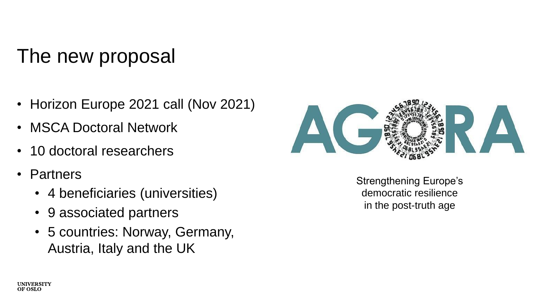### The new proposal

- Horizon Europe 2021 call (Nov 2021)
- MSCA Doctoral Network
- 10 doctoral researchers
- Partners
	- 4 beneficiaries (universities)
	- 9 associated partners
	- 5 countries: Norway, Germany, Austria, Italy and the UK



Strengthening Europe's democratic resilience in the post-truth age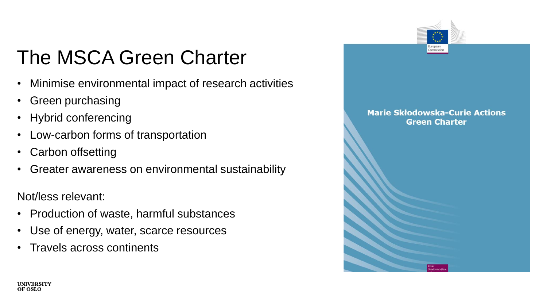## The MSCA Green Charter

- Minimise environmental impact of research activities
- Green purchasing
- Hybrid conferencing
- Low-carbon forms of transportation
- Carbon offsetting
- Greater awareness on environmental sustainability

Not/less relevant:

- Production of waste, harmful substances
- Use of energy, water, scarce resources
- Travels across continents

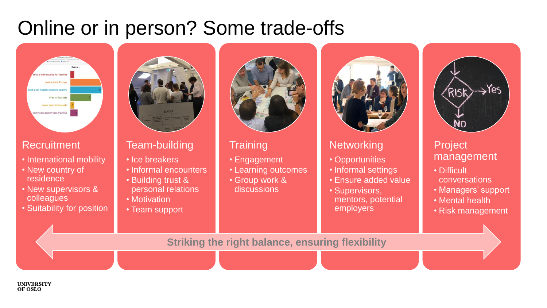### Online or in person? Some trade-offs



#### **Recruitment**

- International mobility
- New country of residence
- New supervisors & colleagues
- Suitability for position



#### Team-building

- Ice breakers
- Informal encounters
- Building trust & personal relations
- Motivation
- Team support



#### **Training**

- Engagement
- Learning outcomes
- Group work & discussions



#### **Networking**

- Opportunities
- Informal settings
- Ensure added value
- Supervisors, mentors, potential employers



#### Project management

- Difficult
- conversations
- Managers' support
- Mental health
- Risk management

**Striking the right balance, ensuring flexibility**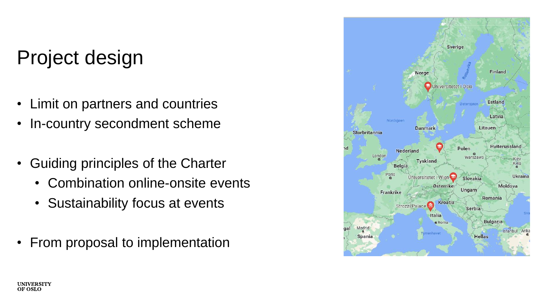### Project design

- Limit on partners and countries
- In-country secondment scheme
- Guiding principles of the Charter
	- Combination online-onsite events
	- Sustainability focus at events
- From proposal to implementation

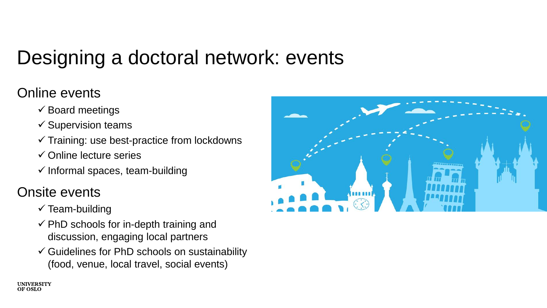## Designing a doctoral network: events

### Online events

- $\checkmark$  Board meetings
- $\checkmark$  Supervision teams
- $\checkmark$  Training: use best-practice from lockdowns
- $\checkmark$  Online lecture series
- $\checkmark$  Informal spaces, team-building

### Onsite events

- $\checkmark$  Team-building
- $\checkmark$  PhD schools for in-depth training and discussion, engaging local partners
- $\checkmark$  Guidelines for PhD schools on sustainability (food, venue, local travel, social events)

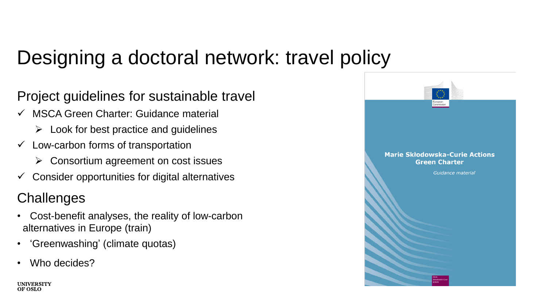### Designing a doctoral network: travel policy

Project guidelines for sustainable travel

- ✓ MSCA Green Charter: Guidance material
	- $\triangleright$  Look for best practice and guidelines
- $\checkmark$  Low-carbon forms of transportation
	- ➢ Consortium agreement on cost issues
- $\checkmark$  Consider opportunities for digital alternatives

### **Challenges**

- Cost-benefit analyses, the reality of low-carbon alternatives in Europe (train)
- 'Greenwashing' (climate quotas)
- Who decides?